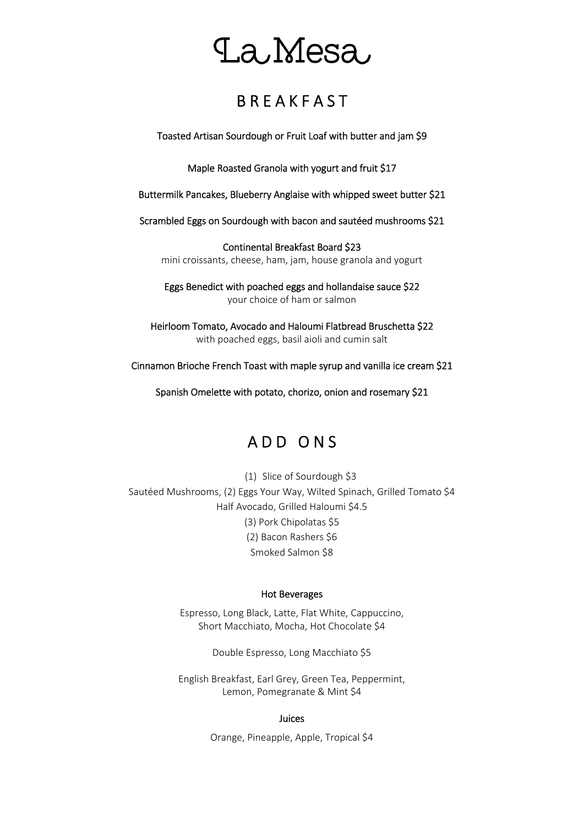## La Mesa

### **B R E A K F A S T**

Toasted Artisan Sourdough or Fruit Loaf with butter and jam \$9

Maple Roasted Granola with yogurt and fruit \$17

Buttermilk Pancakes, Blueberry Anglaise with whipped sweet butter \$21

Scrambled Eggs on Sourdough with bacon and sautéed mushrooms \$21

Continental Breakfast Board \$23 mini croissants, cheese, ham, jam, house granola and yogurt

Eggs Benedict with poached eggs and hollandaise sauce \$22 your choice of ham or salmon

Heirloom Tomato, Avocado and Haloumi Flatbread Bruschetta \$22 with poached eggs, basil aioli and cumin salt

Cinnamon Brioche French Toast with maple syrup and vanilla ice cream \$21

Spanish Omelette with potato, chorizo, onion and rosemary \$21

## A D D O N S

(1) Slice of Sourdough \$3 Sautéed Mushrooms, (2) Eggs Your Way, Wilted Spinach, Grilled Tomato \$4 Half Avocado, Grilled Haloumi \$4.5 (3) Pork Chipolatas \$5 (2) Bacon Rashers \$6 Smoked Salmon \$8

#### Hot Beverages

Espresso, Long Black, Latte, Flat White, Cappuccino, Short Macchiato, Mocha, Hot Chocolate \$4

Double Espresso, Long Macchiato \$5

English Breakfast, Earl Grey, Green Tea, Peppermint, Lemon, Pomegranate & Mint \$4

#### Juices

Orange, Pineapple, Apple, Tropical \$4